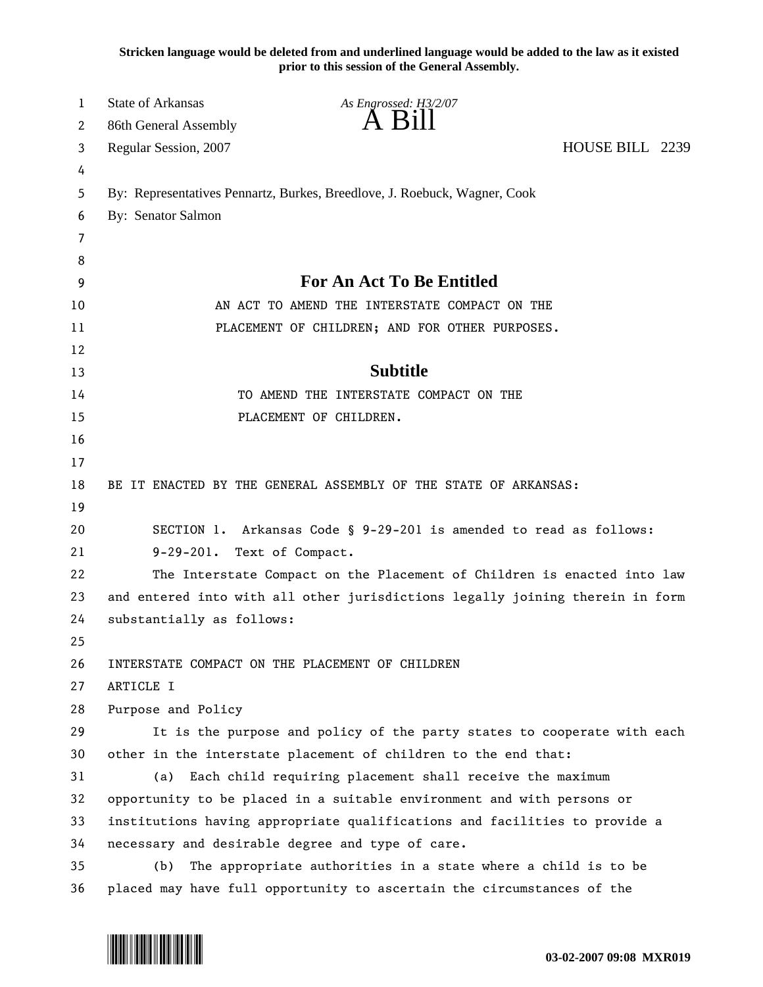**Stricken language would be deleted from and underlined language would be added to the law as it existed prior to this session of the General Assembly.**

| 1        | <b>State of Arkansas</b><br>As Engrossed: H3/2/07                             |  |
|----------|-------------------------------------------------------------------------------|--|
| 2        | A Bill<br>86th General Assembly                                               |  |
| 3        | HOUSE BILL 2239<br>Regular Session, 2007                                      |  |
| 4        |                                                                               |  |
| 5        | By: Representatives Pennartz, Burkes, Breedlove, J. Roebuck, Wagner, Cook     |  |
| 6        | By: Senator Salmon                                                            |  |
| 7        |                                                                               |  |
| 8        |                                                                               |  |
| 9        | <b>For An Act To Be Entitled</b>                                              |  |
| 10       | AN ACT TO AMEND THE INTERSTATE COMPACT ON THE                                 |  |
| 11       | PLACEMENT OF CHILDREN; AND FOR OTHER PURPOSES.                                |  |
| 12       |                                                                               |  |
| 13       | <b>Subtitle</b>                                                               |  |
| 14       | TO AMEND THE INTERSTATE COMPACT ON THE                                        |  |
| 15       | PLACEMENT OF CHILDREN.                                                        |  |
| 16       |                                                                               |  |
| 17       |                                                                               |  |
| 18       | BE IT ENACTED BY THE GENERAL ASSEMBLY OF THE STATE OF ARKANSAS:               |  |
| 19       |                                                                               |  |
| 20       | SECTION 1. Arkansas Code § 9-29-201 is amended to read as follows:            |  |
| 21       | 9-29-201. Text of Compact.                                                    |  |
| 22       | The Interstate Compact on the Placement of Children is enacted into law       |  |
| 23       | and entered into with all other jurisdictions legally joining therein in form |  |
| 24       | substantially as follows:                                                     |  |
| 25       |                                                                               |  |
| 26       | INTERSTATE COMPACT ON THE PLACEMENT OF CHILDREN<br>ARTICLE I                  |  |
| 27<br>28 | Purpose and Policy                                                            |  |
| 29       | It is the purpose and policy of the party states to cooperate with each       |  |
| 30       | other in the interstate placement of children to the end that:                |  |
| 31       | Each child requiring placement shall receive the maximum<br>(a)               |  |
| 32       | opportunity to be placed in a suitable environment and with persons or        |  |
| 33       | institutions having appropriate qualifications and facilities to provide a    |  |
| 34       | necessary and desirable degree and type of care.                              |  |
| 35       | The appropriate authorities in a state where a child is to be<br>(b)          |  |
| 36       | placed may have full opportunity to ascertain the circumstances of the        |  |

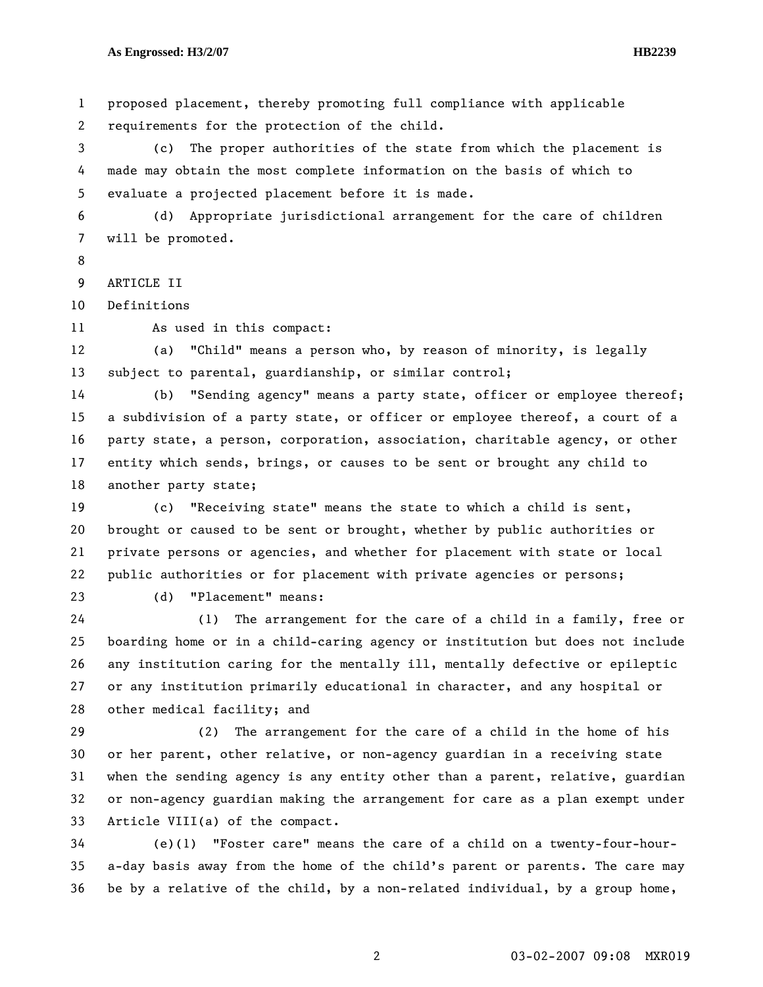1 proposed placement, thereby promoting full compliance with applicable 2 requirements for the protection of the child.

3 (c) The proper authorities of the state from which the placement is 4 made may obtain the most complete information on the basis of which to 5 evaluate a projected placement before it is made.

6 (d) Appropriate jurisdictional arrangement for the care of children 7 will be promoted.

8

9 ARTICLE II

10 Definitions

11 As used in this compact:

12 (a) "Child" means a person who, by reason of minority, is legally 13 subject to parental, guardianship, or similar control;

14 (b) "Sending agency" means a party state, officer or employee thereof; 15 a subdivision of a party state, or officer or employee thereof, a court of a 16 party state, a person, corporation, association, charitable agency, or other 17 entity which sends, brings, or causes to be sent or brought any child to 18 another party state;

19 (c) "Receiving state" means the state to which a child is sent, 20 brought or caused to be sent or brought, whether by public authorities or 21 private persons or agencies, and whether for placement with state or local 22 public authorities or for placement with private agencies or persons;

23 (d) "Placement" means:

24 (1) The arrangement for the care of a child in a family, free or 25 boarding home or in a child-caring agency or institution but does not include 26 any institution caring for the mentally ill, mentally defective or epileptic 27 or any institution primarily educational in character, and any hospital or 28 other medical facility; and

29 (2) The arrangement for the care of a child in the home of his 30 or her parent, other relative, or non-agency guardian in a receiving state 31 when the sending agency is any entity other than a parent, relative, guardian 32 or non-agency guardian making the arrangement for care as a plan exempt under 33 Article VIII(a) of the compact.

34 (e)(1) "Foster care" means the care of a child on a twenty-four-hour-35 a-day basis away from the home of the child's parent or parents. The care may 36 be by a relative of the child, by a non-related individual, by a group home,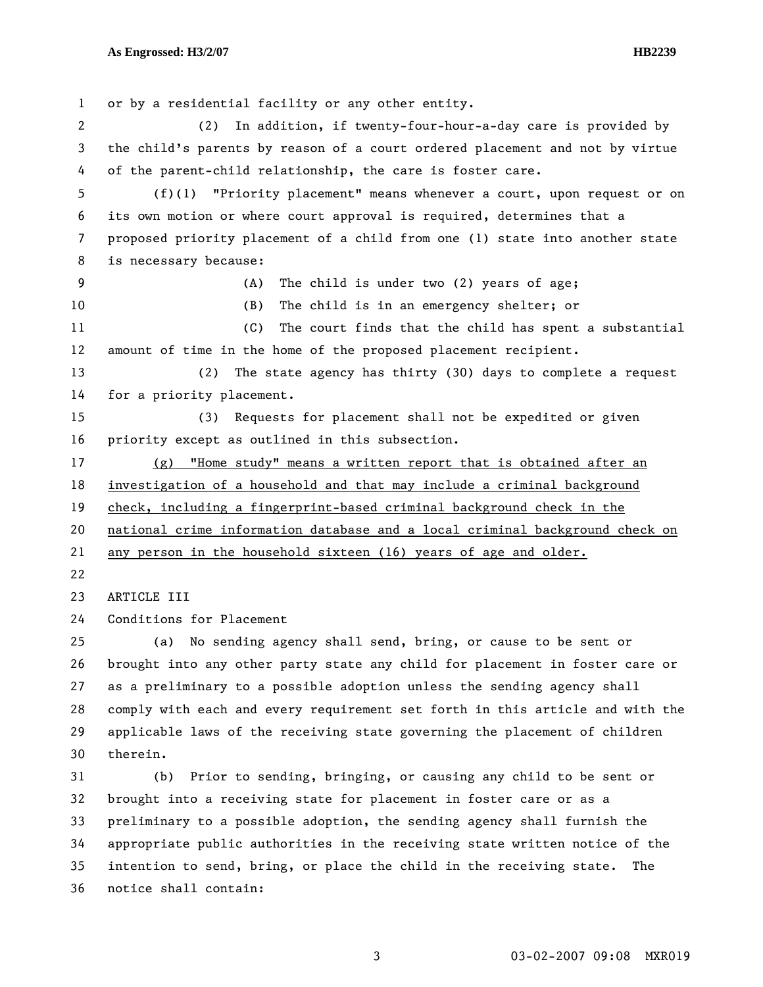1 or by a residential facility or any other entity. 2 (2) In addition, if twenty-four-hour-a-day care is provided by 3 the child's parents by reason of a court ordered placement and not by virtue 4 of the parent-child relationship, the care is foster care. 5 (f)(1) "Priority placement" means whenever a court, upon request or on 6 its own motion or where court approval is required, determines that a 7 proposed priority placement of a child from one (1) state into another state 8 is necessary because: 9 (A) The child is under two (2) years of age; 10 (B) The child is in an emergency shelter; or 11 (C) The court finds that the child has spent a substantial 12 amount of time in the home of the proposed placement recipient. 13 (2) The state agency has thirty (30) days to complete a request 14 for a priority placement. 15 (3) Requests for placement shall not be expedited or given 16 priority except as outlined in this subsection. 17 (g) "Home study" means a written report that is obtained after an 18 investigation of a household and that may include a criminal background 19 check, including a fingerprint-based criminal background check in the 20 national crime information database and a local criminal background check on 21 any person in the household sixteen (16) years of age and older. 22 23 ARTICLE III 24 Conditions for Placement 25 (a) No sending agency shall send, bring, or cause to be sent or 26 brought into any other party state any child for placement in foster care or 27 as a preliminary to a possible adoption unless the sending agency shall 28 comply with each and every requirement set forth in this article and with the 29 applicable laws of the receiving state governing the placement of children 30 therein. 31 (b) Prior to sending, bringing, or causing any child to be sent or 32 brought into a receiving state for placement in foster care or as a 33 preliminary to a possible adoption, the sending agency shall furnish the 34 appropriate public authorities in the receiving state written notice of the

35 intention to send, bring, or place the child in the receiving state. The 36 notice shall contain: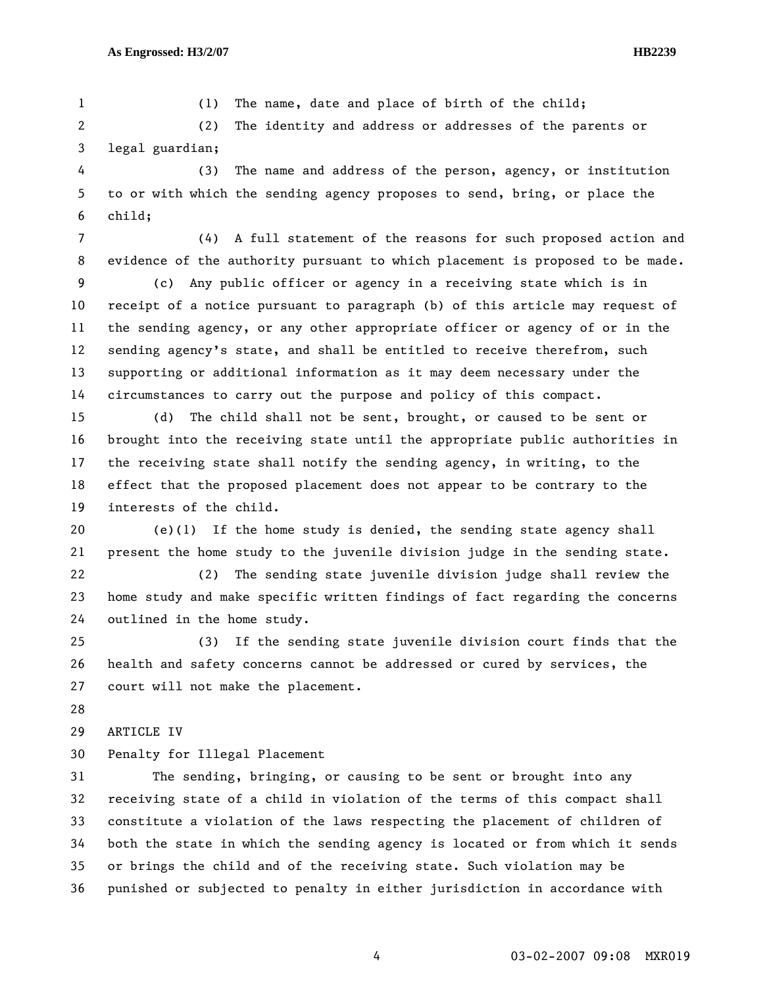1 (1) The name, date and place of birth of the child;

2 (2) The identity and address or addresses of the parents or 3 legal guardian;

4 (3) The name and address of the person, agency, or institution 5 to or with which the sending agency proposes to send, bring, or place the 6 child;

7 (4) A full statement of the reasons for such proposed action and 8 evidence of the authority pursuant to which placement is proposed to be made.

9 (c) Any public officer or agency in a receiving state which is in 10 receipt of a notice pursuant to paragraph (b) of this article may request of 11 the sending agency, or any other appropriate officer or agency of or in the 12 sending agency's state, and shall be entitled to receive therefrom, such 13 supporting or additional information as it may deem necessary under the 14 circumstances to carry out the purpose and policy of this compact.

15 (d) The child shall not be sent, brought, or caused to be sent or 16 brought into the receiving state until the appropriate public authorities in 17 the receiving state shall notify the sending agency, in writing, to the 18 effect that the proposed placement does not appear to be contrary to the 19 interests of the child.

20 (e)(1) If the home study is denied, the sending state agency shall 21 present the home study to the juvenile division judge in the sending state.

22 (2) The sending state juvenile division judge shall review the 23 home study and make specific written findings of fact regarding the concerns 24 outlined in the home study.

25 (3) If the sending state juvenile division court finds that the 26 health and safety concerns cannot be addressed or cured by services, the 27 court will not make the placement.

28

29 ARTICLE IV

30 Penalty for Illegal Placement

31 The sending, bringing, or causing to be sent or brought into any 32 receiving state of a child in violation of the terms of this compact shall 33 constitute a violation of the laws respecting the placement of children of 34 both the state in which the sending agency is located or from which it sends 35 or brings the child and of the receiving state. Such violation may be 36 punished or subjected to penalty in either jurisdiction in accordance with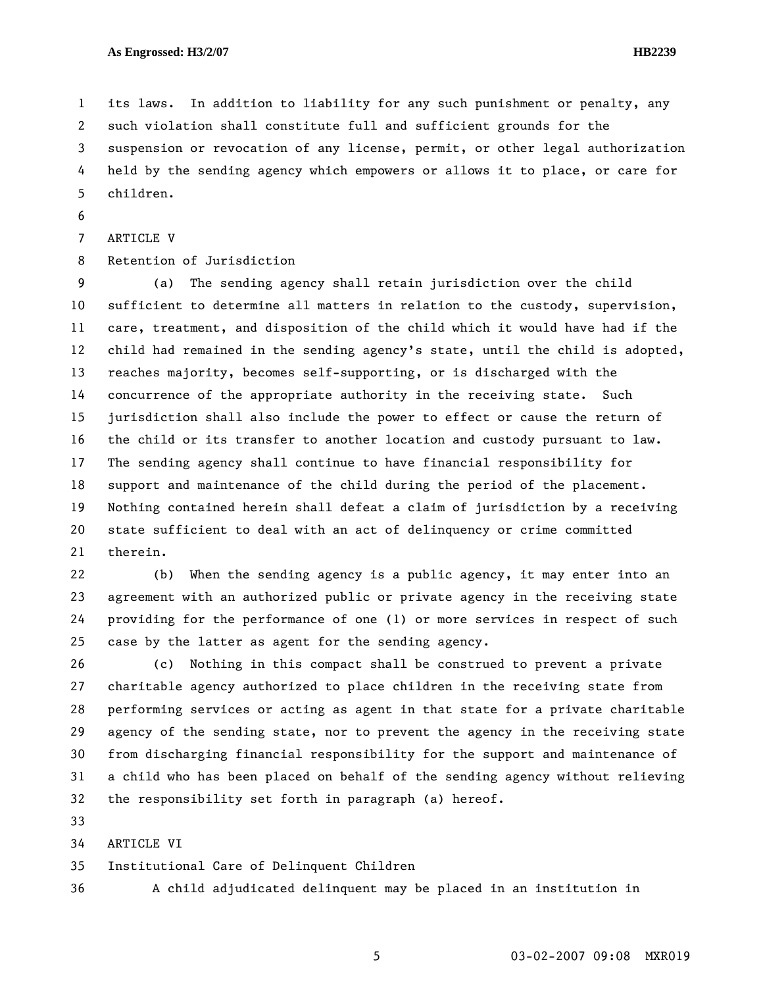1 its laws. In addition to liability for any such punishment or penalty, any 2 such violation shall constitute full and sufficient grounds for the 3 suspension or revocation of any license, permit, or other legal authorization 4 held by the sending agency which empowers or allows it to place, or care for 5 children.

6

```
7 ARTICLE V
```
8 Retention of Jurisdiction

9 (a) The sending agency shall retain jurisdiction over the child 10 sufficient to determine all matters in relation to the custody, supervision, 11 care, treatment, and disposition of the child which it would have had if the 12 child had remained in the sending agency's state, until the child is adopted, 13 reaches majority, becomes self-supporting, or is discharged with the 14 concurrence of the appropriate authority in the receiving state. Such 15 jurisdiction shall also include the power to effect or cause the return of 16 the child or its transfer to another location and custody pursuant to law. 17 The sending agency shall continue to have financial responsibility for 18 support and maintenance of the child during the period of the placement. 19 Nothing contained herein shall defeat a claim of jurisdiction by a receiving 20 state sufficient to deal with an act of delinquency or crime committed 21 therein.

22 (b) When the sending agency is a public agency, it may enter into an 23 agreement with an authorized public or private agency in the receiving state 24 providing for the performance of one (1) or more services in respect of such 25 case by the latter as agent for the sending agency.

26 (c) Nothing in this compact shall be construed to prevent a private 27 charitable agency authorized to place children in the receiving state from 28 performing services or acting as agent in that state for a private charitable 29 agency of the sending state, nor to prevent the agency in the receiving state 30 from discharging financial responsibility for the support and maintenance of 31 a child who has been placed on behalf of the sending agency without relieving 32 the responsibility set forth in paragraph (a) hereof.

33

34 ARTICLE VI

35 Institutional Care of Delinquent Children

36 A child adjudicated delinquent may be placed in an institution in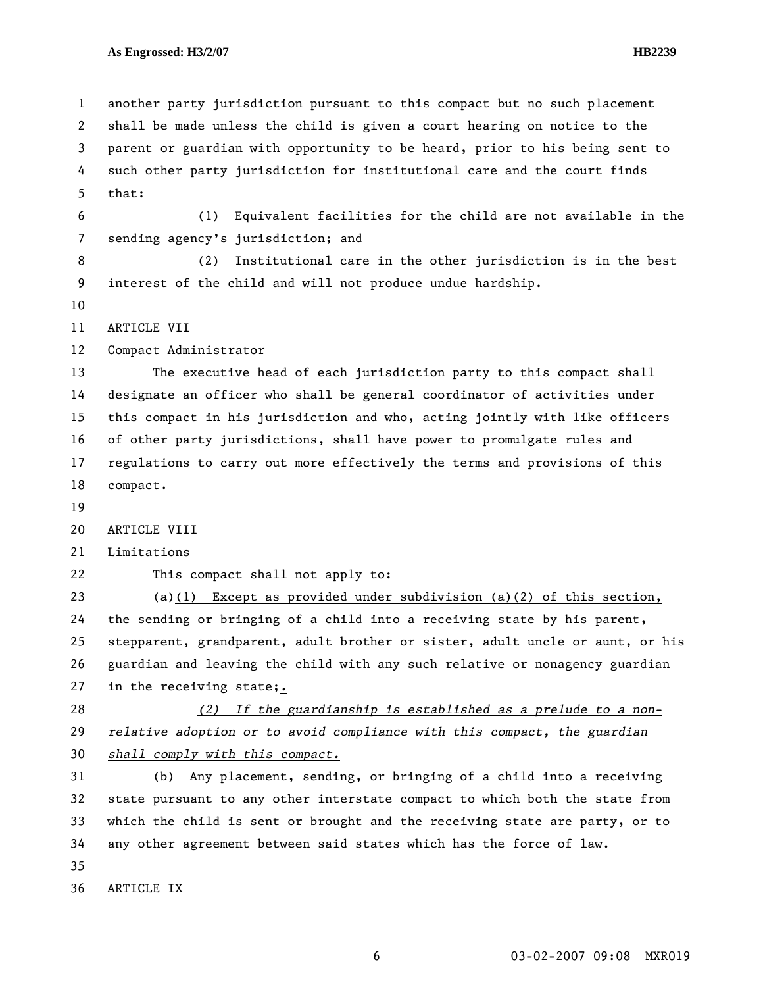1 another party jurisdiction pursuant to this compact but no such placement 2 shall be made unless the child is given a court hearing on notice to the 3 parent or guardian with opportunity to be heard, prior to his being sent to 4 such other party jurisdiction for institutional care and the court finds 5 that: 6 (1) Equivalent facilities for the child are not available in the 7 sending agency's jurisdiction; and 8 (2) Institutional care in the other jurisdiction is in the best 9 interest of the child and will not produce undue hardship. 10 11 ARTICLE VII 12 Compact Administrator 13 The executive head of each jurisdiction party to this compact shall 14 designate an officer who shall be general coordinator of activities under 15 this compact in his jurisdiction and who, acting jointly with like officers 16 of other party jurisdictions, shall have power to promulgate rules and 17 regulations to carry out more effectively the terms and provisions of this 18 compact. 19 20 ARTICLE VIII 21 Limitations 22 This compact shall not apply to: 23 (a)(1) Except as provided under subdivision (a)(2) of this section, 24 the sending or bringing of a child into a receiving state by his parent, 25 stepparent, grandparent, adult brother or sister, adult uncle or aunt, or his 26 guardian and leaving the child with any such relative or nonagency guardian 27 in the receiving state;. 28 *(2) If the guardianship is established as a prelude to a non-*29 *relative adoption or to avoid compliance with this compact, the guardian*  30 *shall comply with this compact.* 31 (b) Any placement, sending, or bringing of a child into a receiving 32 state pursuant to any other interstate compact to which both the state from 33 which the child is sent or brought and the receiving state are party, or to 34 any other agreement between said states which has the force of law. 35 36 ARTICLE IX